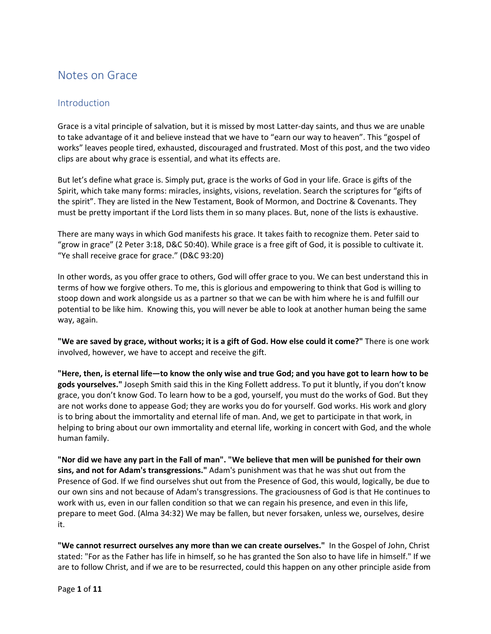# Notes on Grace

# **Introduction**

Grace is a vital principle of salvation, but it is missed by most Latter-day saints, and thus we are unable to take advantage of it and believe instead that we have to "earn our way to heaven". This "gospel of works" leaves people tired, exhausted, discouraged and frustrated. Most of this post, and the two video clips are about why grace is essential, and what its effects are.

But let's define what grace is. Simply put, grace is the works of God in your life. Grace is gifts of the Spirit, which take many forms: miracles, insights, visions, revelation. Search the scriptures for "gifts of the spirit". They are listed in the New Testament, Book of Mormon, and Doctrine & Covenants. They must be pretty important if the Lord lists them in so many places. But, none of the lists is exhaustive.

There are many ways in which God manifests his grace. It takes faith to recognize them. Peter said to "grow in grace" (2 Peter 3:18, D&C 50:40). While grace is a free gift of God, it is possible to cultivate it. "Ye shall receive grace for grace." (D&C 93:20)

In other words, as you offer grace to others, God will offer grace to you. We can best understand this in terms of how we forgive others. To me, this is glorious and empowering to think that God is willing to stoop down and work alongside us as a partner so that we can be with him where he is and fulfill our potential to be like him. Knowing this, you will never be able to look at another human being the same way, again.

**"We are saved by grace, without works; it is a gift of God. How else could it come?"** There is one work involved, however, we have to accept and receive the gift.

"Here, then, is eternal life-to know the only wise and true God; and you have got to learn how to be **gods yourselves."** Joseph Smith said this in the King Follett address. To put it bluntly, if you don't know grace, you don't know God. To learn how to be a god, yourself, you must do the works of God. But they are not works done to appease God; they are works you do for yourself. God works. His work and glory is to bring about the immortality and eternal life of man. And, we get to participate in that work, in helping to bring about our own immortality and eternal life, working in concert with God, and the whole human family.

"Nor did we have any part in the Fall of man". "We believe that men will be punished for their own **sins, and not for Adam's transgressions."** Adam's punishment was that he was shut out from the Presence of God. If we find ourselves shut out from the Presence of God, this would, logically, be due to our own sins and not because of Adam's transgressions. The graciousness of God is that He continues to work with us, even in our fallen condition so that we can regain his presence, and even in this life, prepare to meet God. (Alma 34:32) We may be fallen, but never forsaken, unless we, ourselves, desire it.

**"We cannot resurrect ourselves any more than we can create ourselves."** In the Gospel of John, Christ stated: "For as the Father has life in himself, so he has granted the Son also to have life in himself." If we are to follow Christ, and if we are to be resurrected, could this happen on any other principle aside from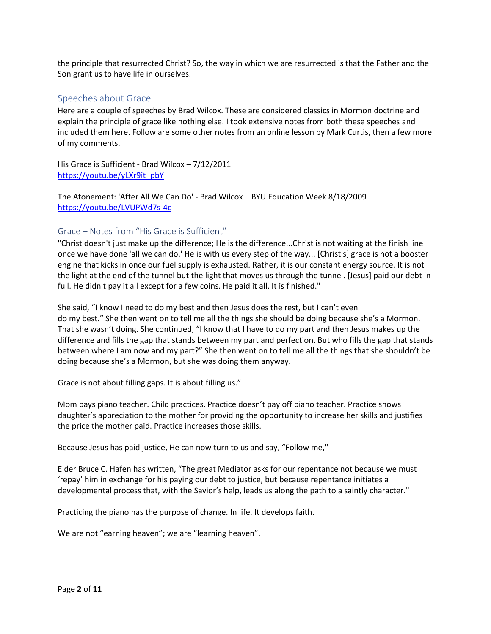the principle that resurrected Christ? So, the way in which we are resurrected is that the Father and the Son grant us to have life in ourselves.

# Speeches about Grace

Here are a couple of speeches by Brad Wilcox. These are considered classics in Mormon doctrine and explain the principle of grace like nothing else. I took extensive notes from both these speeches and included them here. Follow are some other notes from an online lesson by Mark Curtis, then a few more of my comments.

His Grace is Sufficient - Brad Wilcox – 7/12/2011 [https://youtu.be/yLXr9it\\_pbY](https://l.facebook.com/l.php?u=https%253A%252F%252Fyoutu.be%252FyLXr9it_pbY%253Ffbclid%253DIwAR2K2eRpmkhIUEYWpfQ3c3-yGMmZ7R1X8QqipCfYXcSLGTAcT2IeIpKo0Fw&h=AT02mXQtfl4LJ4JoCUw3Sr-VY1ii_1s5Czny7kU0kZZpB4wAt8B1get-ci1tHNFQfkeBhIAJar354z1KXPRqglM-T4a5Eq4hunt2kBzIIz60WfeDuW52htvxgIOX8MKdjEGwXGO7rhXA1AUIpXA)

The Atonement: 'After All We Can Do' - Brad Wilcox – BYU Education Week 8/18/2009 [https://youtu.be/LVUPWd7s-4c](https://l.facebook.com/l.php?u=https%253A%252F%252Fyoutu.be%252FLVUPWd7s-4c%253Ffbclid%253DIwAR0q4HyB9GvtSJPfaxGjsC7PQndt2CGkW04-3EwPjnGF-rJQj1i6qy4atVA&h=AT2c3R9pmk5FJjIb8n4cLR2Y0B3ZoZuI1O4z0IEatYAkVnJre93u9MfON3IQaeDFfl2pdYLlZSkJQimt0IWzLAxG4zoufLAV-WT0EQLNqKNiXsjiE7RUpHgoWmC4Q8i0cRKx4gMdwDxlFS0P0vU)

## Grace – Notes from "His Grace is Sufficient"

"Christ doesn't just make up the difference; He is the difference...Christ is not waiting at the finish line once we have done 'all we can do.' He is with us every step of the way... [Christ's] grace is not a booster engine that kicks in once our fuel supply is exhausted. Rather, it is our constant energy source. It is not the light at the end of the tunnel but the light that moves us through the tunnel. [Jesus] paid our debt in full. He didn't pay it all except for a few coins. He paid it all. It is finished."

She said, "I know I need to do my best and then Jesus does the rest, but I can't even do my best." She then went on to tell me all the things she should be doing because she's a Mormon. That she wasn't doing. She continued, "I know that I have to do my part and then Jesus makes up the difference and fills the gap that stands between my part and perfection. But who fills the gap that stands between where I am now and my part?" She then went on to tell me all the things that she shouldn't be doing because she's a Mormon, but she was doing them anyway.

Grace is not about filling gaps. It is about filling us."

Mom pays piano teacher. Child practices. Practice doesn't pay off piano teacher. Practice shows daughter's appreciation to the mother for providing the opportunity to increase her skills and justifies the price the mother paid. Practice increases those skills.

Because Jesus has paid justice, He can now turn to us and say, "Follow me,"

Elder Bruce C. Hafen has written, "The great Mediator asks for our repentance not because we must 'repay' him in exchange for his paying our debt to justice, but because repentance initiates a developmental process that, with the Savior's help, leads us along the path to a saintly character."

Practicing the piano has the purpose of change. In life. It develops faith.

We are not "earning heaven"; we are "learning heaven".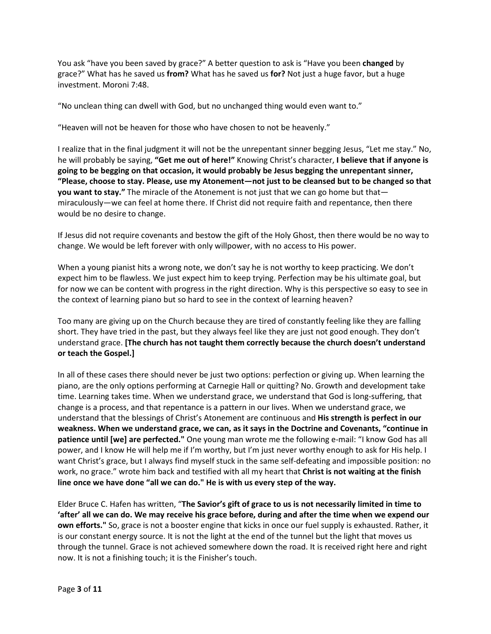You ask "have you been saved by grace?" A better question to ask is "Have you been **changed** by grace?" What has he saved us **from?** What has he saved us **for?** Not just a huge favor, but a huge investment. Moroni 7:48.

"No unclean thing can dwell with God, but no unchanged thing would even want to."

"Heaven will not be heaven for those who have chosen to not be heavenly."

I realize that in the final judgment it will not be the unrepentant sinner begging Jesus, "Let me stay." No, he will probably be saying, **"Get me out of here!"** Knowing Christ's character, **I believe that if anyone is going to be begging on that occasion, it would probably be Jesus begging the unrepentant sinner,**  "Please, choose to stay. Please, use my Atonement-not just to be cleansed but to be changed so that **you want to stay."** The miracle of the Atonement is not just that we can go home but that miraculously—we can feel at home there. If Christ did not require faith and repentance, then there would be no desire to change.

If Jesus did not require covenants and bestow the gift of the Holy Ghost, then there would be no way to change. We would be left forever with only willpower, with no access to His power.

When a young pianist hits a wrong note, we don't say he is not worthy to keep practicing. We don't expect him to be flawless. We just expect him to keep trying. Perfection may be his ultimate goal, but for now we can be content with progress in the right direction. Why is this perspective so easy to see in the context of learning piano but so hard to see in the context of learning heaven?

Too many are giving up on the Church because they are tired of constantly feeling like they are falling short. They have tried in the past, but they always feel like they are just not good enough. They don't understand grace. **[The church has not taught them correctly because the church doesn't understand or teach the Gospel.]**

In all of these cases there should never be just two options: perfection or giving up. When learning the piano, are the only options performing at Carnegie Hall or quitting? No. Growth and development take time. Learning takes time. When we understand grace, we understand that God is long-suffering, that change is a process, and that repentance is a pattern in our lives. When we understand grace, we understand that the blessings of Christ's Atonement are continuous and **His strength is perfect in our weakness. When we understand grace, we can, as it says in the Doctrine and Covenants, "continue in patience until [we] are perfected."** One young man wrote me the following e-mail: "I know God has all power, and I know He will help me if I'm worthy, but I'm just never worthy enough to ask for His help. I want Christ's grace, but I always find myself stuck in the same self-defeating and impossible position: no work, no grace." wrote him back and testified with all my heart that **Christ is not waiting at the finish line once we have done "all we can do." He is with us every step of the way.**

Elder Bruce C. Hafen has written, "**The Savior's gift of grace to us is not necessarily limited in time to** 'after' all we can do. We may receive his grace before, during and after the time when we expend our **own efforts."** So, grace is not a booster engine that kicks in once our fuel supply is exhausted. Rather, it is our constant energy source. It is not the light at the end of the tunnel but the light that moves us through the tunnel. Grace is not achieved somewhere down the road. It is received right here and right now. It is not a finishing touch; it is the Finisher's touch.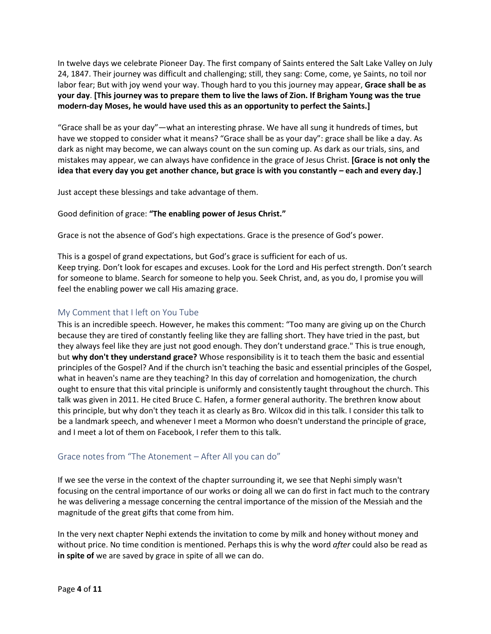In twelve days we celebrate Pioneer Day. The first company of Saints entered the Salt Lake Valley on July 24, 1847. Their journey was difficult and challenging; still, they sang: Come, come, ye Saints, no toil nor labor fear; But with joy wend your way. Though hard to you this journey may appear, **Grace shall be as** your day. [This journey was to prepare them to live the laws of Zion. If Brigham Young was the true **modern-day Moses, he would have used this as an opportunity to perfect the Saints.]**

"Grace shall be as your day"—what an interesting phrase. We have all sung it hundreds of times, but have we stopped to consider what it means? "Grace shall be as your day": grace shall be like a day. As dark as night may become, we can always count on the sun coming up. As dark as our trials, sins, and mistakes may appear, we can always have confidence in the grace of Jesus Christ. **[Grace is not only the** idea that every day you get another chance, but grace is with you constantly - each and every day.]

Just accept these blessings and take advantage of them.

Good definition of grace: **"The enabling power of Jesus Christ."**

Grace is not the absence of God's high expectations. Grace is the presence of God's power.

This is a gospel of grand expectations, but God's grace is sufficient for each of us. Keep trying. Don't look for escapes and excuses. Look for the Lord and His perfect strength. Don't search for someone to blame. Search for someone to help you. Seek Christ, and, as you do, I promise you will feel the enabling power we call His amazing grace.

# My Comment that I left on You Tube

This is an incredible speech. However, he makes this comment: "Too many are giving up on the Church because they are tired of constantly feeling like they are falling short. They have tried in the past, but they always feel like they are just not good enough. They don't understand grace." This is true enough, but **why don't they understand grace?** Whose responsibility is it to teach them the basic and essential principles of the Gospel? And if the church isn't teaching the basic and essential principles of the Gospel, what in heaven's name are they teaching? In this day of correlation and homogenization, the church ought to ensure that this vital principle is uniformly and consistently taught throughout the church. This talk was given in 2011. He cited Bruce C. Hafen, a former general authority. The brethren know about this principle, but why don't they teach it as clearly as Bro. Wilcox did in this talk. I consider this talk to be a landmark speech, and whenever I meet a Mormon who doesn't understand the principle of grace, and I meet a lot of them on Facebook, I refer them to this talk.

## Grace notes from "The Atonement – After All you can do"

If we see the verse in the context of the chapter surrounding it, we see that Nephi simply wasn't focusing on the central importance of our works or doing all we can do first in fact much to the contrary he was delivering a message concerning the central importance of the mission of the Messiah and the magnitude of the great gifts that come from him.

In the very next chapter Nephi extends the invitation to come by milk and honey without money and without price. No time condition is mentioned. Perhaps this is why the word *after* could also be read as **in spite of** we are saved by grace in spite of all we can do.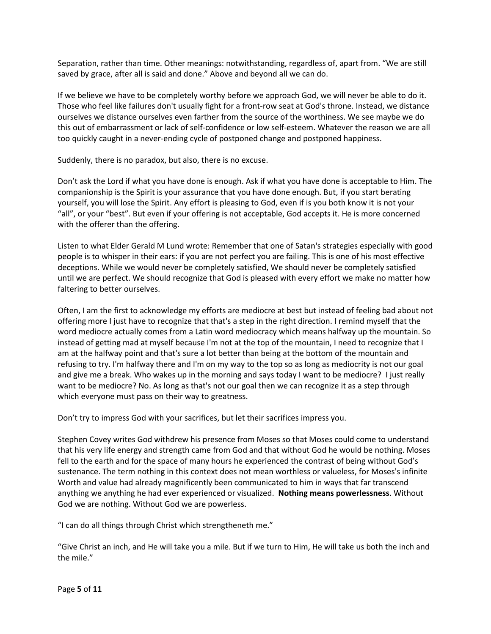Separation, rather than time. Other meanings: notwithstanding, regardless of, apart from. "We are still saved by grace, after all is said and done." Above and beyond all we can do.

If we believe we have to be completely worthy before we approach God, we will never be able to do it. Those who feel like failures don't usually fight for a front-row seat at God's throne. Instead, we distance ourselves we distance ourselves even farther from the source of the worthiness. We see maybe we do this out of embarrassment or lack of self-confidence or low self-esteem. Whatever the reason we are all too quickly caught in a never-ending cycle of postponed change and postponed happiness.

Suddenly, there is no paradox, but also, there is no excuse.

Don't ask the Lord if what you have done is enough. Ask if what you have done is acceptable to Him. The companionship is the Spirit is your assurance that you have done enough. But, if you start berating yourself, you will lose the Spirit. Any effort is pleasing to God, even if is you both know it is not your "all", or your "best". But even if your offering is not acceptable, God accepts it. He is more concerned with the offerer than the offering.

Listen to what Elder Gerald M Lund wrote: Remember that one of Satan's strategies especially with good people is to whisper in their ears: if you are not perfect you are failing. This is one of his most effective deceptions. While we would never be completely satisfied, We should never be completely satisfied until we are perfect. We should recognize that God is pleased with every effort we make no matter how faltering to better ourselves.

Often, I am the first to acknowledge my efforts are mediocre at best but instead of feeling bad about not offering more I just have to recognize that that's a step in the right direction. I remind myself that the word mediocre actually comes from a Latin word mediocracy which means halfway up the mountain. So instead of getting mad at myself because I'm not at the top of the mountain, I need to recognize that I am at the halfway point and that's sure a lot better than being at the bottom of the mountain and refusing to try. I'm halfway there and I'm on my way to the top so as long as mediocrity is not our goal and give me a break. Who wakes up in the morning and says today I want to be mediocre? I just really want to be mediocre? No. As long as that's not our goal then we can recognize it as a step through which everyone must pass on their way to greatness.

Don't try to impress God with your sacrifices, but let their sacrifices impress you.

Stephen Covey writes God withdrew his presence from Moses so that Moses could come to understand that his very life energy and strength came from God and that without God he would be nothing. Moses fell to the earth and for the space of many hours he experienced the contrast of being without God's sustenance. The term nothing in this context does not mean worthless or valueless, for Moses's infinite Worth and value had already magnificently been communicated to him in ways that far transcend anything we anything he had ever experienced or visualized. **Nothing means powerlessness**. Without God we are nothing. Without God we are powerless.

"I can do all things through Christ which strengtheneth me."

"Give Christ an inch, and He will take you a mile. But if we turn to Him, He will take us both the inch and the mile."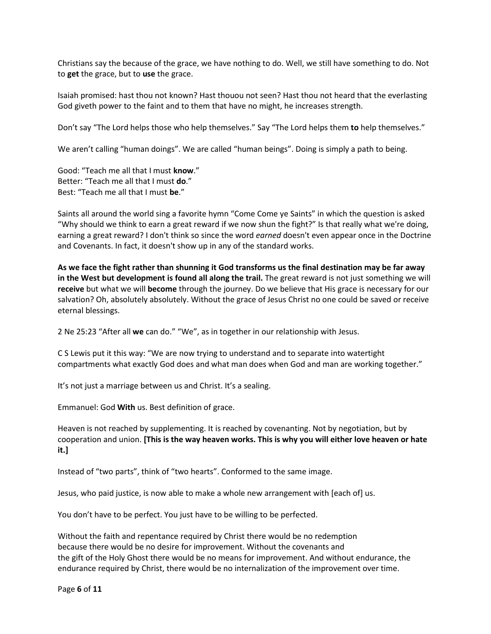Christians say the because of the grace, we have nothing to do. Well, we still have something to do. Not to **get** the grace, but to **use** the grace.

Isaiah promised: hast thou not known? Hast thouou not seen? Hast thou not heard that the everlasting God giveth power to the faint and to them that have no might, he increases strength.

Don't say "The Lord helps those who help themselves." Say "The Lord helps them **to** help themselves."

We aren't calling "human doings". We are called "human beings". Doing is simply a path to being.

Good: "Teach me all that I must **know**." Better: "Teach me all that I must **do**." Best: "Teach me all that I must **be**."

Saints all around the world sing a favorite hymn "Come Come ye Saints" in which the question is asked "Why should we think to earn a great reward if we now shun the fight?" Is that really what we're doing, earning a great reward? I don't think so since the word *earned* doesn't even appear once in the Doctrine and Covenants. In fact, it doesn't show up in any of the standard works.

As we face the fight rather than shunning it God transforms us the final destination may be far away **in the West but development is found all along the trail.** The great reward is not just something we will **receive** but what we will **become** through the journey. Do we believe that His grace is necessary for our salvation? Oh, absolutely absolutely. Without the grace of Jesus Christ no one could be saved or receive eternal blessings.

2 Ne 25:23 "After all **we** can do." "We", as in together in our relationship with Jesus.

C S Lewis put it this way: "We are now trying to understand and to separate into watertight compartments what exactly God does and what man does when God and man are working together."

It's not just a marriage between us and Christ. It's a sealing.

Emmanuel: God **With** us. Best definition of grace.

Heaven is not reached by supplementing. It is reached by covenanting. Not by negotiation, but by cooperation and union. **[This is the way heaven works. This is why you will either love heaven or hate it.]**

Instead of "two parts", think of "two hearts". Conformed to the same image.

Jesus, who paid justice, is now able to make a whole new arrangement with [each of] us.

You don't have to be perfect. You just have to be willing to be perfected.

Without the faith and repentance required by Christ there would be no redemption because there would be no desire for improvement. Without the covenants and the gift of the Holy Ghost there would be no means for improvement. And without endurance, the endurance required by Christ, there would be no internalization of the improvement over time.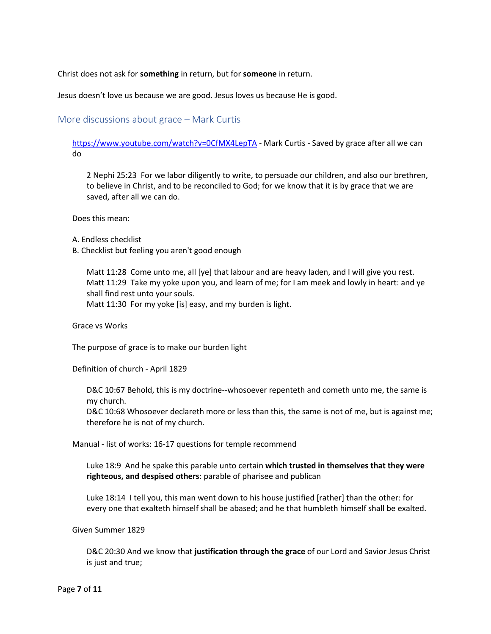Christ does not ask for **something** in return, but for **someone** in return.

Jesus doesn't love us because we are good. Jesus loves us because He is good.

More discussions about grace – Mark Curtis

[https://www.youtube.com/watch?v=0CfMX4LepTA](https://www.youtube.com/watch?v=yLXr9it_pbY&t=80s%20-%20His%20Grace%20is%20sufficient%20-%20Brad%20Wilcoxhttps://www.youtube.com/watch?v=0CfMX4LepTA%20-%20Mark%20Curtis%20-%20Saved%20by%20grace%20after%20all%20we%20can%20do) - Mark Curtis - Saved by grace after all we can do

2 Nephi 25:23 For we labor diligently to write, to persuade our children, and also our brethren, to believe in Christ, and to be reconciled to God; for we know that it is by grace that we are saved, after all we can do.

Does this mean:

A. Endless checklist

B. Checklist but feeling you aren't good enough

Matt 11:28 Come unto me, all [ye] that labour and are heavy laden, and I will give you rest. Matt 11:29 Take my yoke upon you, and learn of me; for I am meek and lowly in heart: and ye shall find rest unto your souls. Matt 11:30 For my yoke [is] easy, and my burden is light.

Grace vs Works

The purpose of grace is to make our burden light

Definition of church - April 1829

D&C 10:67 Behold, this is my doctrine--whosoever repenteth and cometh unto me, the same is my church.

D&C 10:68 Whosoever declareth more or less than this, the same is not of me, but is against me; therefore he is not of my church.

Manual - list of works: 16-17 questions for temple recommend

Luke 18:9 And he spake this parable unto certain **which trusted in themselves that they were righteous, and despised others**: parable of pharisee and publican

Luke 18:14 I tell you, this man went down to his house justified [rather] than the other: for every one that exalteth himself shall be abased; and he that humbleth himself shall be exalted.

Given Summer 1829

D&C 20:30 And we know that **justification through the grace** of our Lord and Savior Jesus Christ is just and true;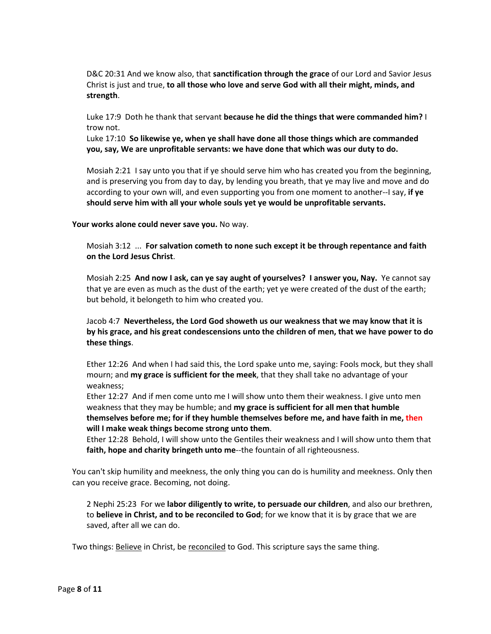D&C 20:31 And we know also, that **sanctification through the grace** of our Lord and Savior Jesus Christ is just and true, **to all those who love and serve God with all their might, minds, and strength**.

Luke 17:9 Doth he thank that servant **because he did the things that were commanded him?** I trow not.

Luke 17:10 **So likewise ye, when ye shall have done all those things which are commanded you, say, We are unprofitable servants: we have done that which was our duty to do.**

Mosiah 2:21 I say unto you that if ye should serve him who has created you from the beginning, and is preserving you from day to day, by lending you breath, that ye may live and move and do according to your own will, and even supporting you from one moment to another--I say, **if ye should serve him with all your whole souls yet ye would be unprofitable servants.**

**Your works alone could never save you.** No way.

Mosiah 3:12 ... **For salvation cometh to none such except it be through repentance and faith on the Lord Jesus Christ**.

Mosiah 2:25 **And now I ask, can ye say aught of yourselves? I answer you, Nay.** Ye cannot say that ye are even as much as the dust of the earth; yet ye were created of the dust of the earth; but behold, it belongeth to him who created you.

Jacob 4:7 **Nevertheless, the Lord God showeth us our weakness that we may know that it is by his grace, and his great condescensions unto the children of men, that we have power to do these things**.

Ether 12:26 And when I had said this, the Lord spake unto me, saying: Fools mock, but they shall mourn; and **my grace is sufficient for the meek**, that they shall take no advantage of your weakness;

Ether 12:27 And if men come unto me I will show unto them their weakness. I give unto men weakness that they may be humble; and **my grace is sufficient for all men that humble themselves before me; for if they humble themselves before me, and have faith in me, then will I make weak things become strong unto them**.

Ether 12:28 Behold, I will show unto the Gentiles their weakness and I will show unto them that **faith, hope and charity bringeth unto me**--the fountain of all righteousness.

You can't skip humility and meekness, the only thing you can do is humility and meekness. Only then can you receive grace. Becoming, not doing.

2 Nephi 25:23 For we **labor diligently to write, to persuade our children**, and also our brethren, to **believe in Christ, and to be reconciled to God**; for we know that it is by grace that we are saved, after all we can do.

Two things: Believe in Christ, be reconciled to God. This scripture says the same thing.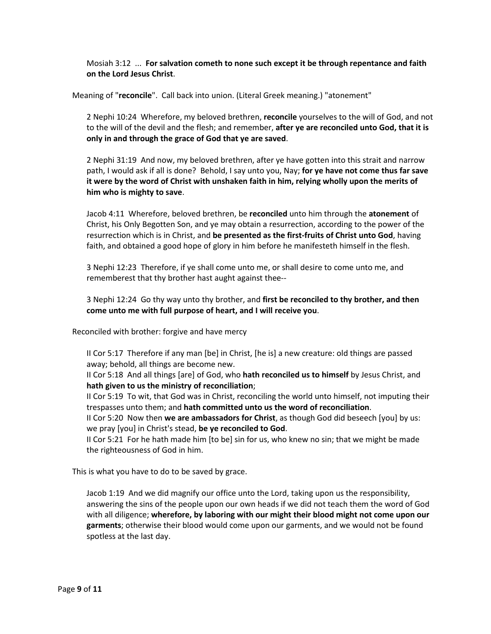Mosiah 3:12 ... **For salvation cometh to none such except it be through repentance and faith on the Lord Jesus Christ**.

Meaning of "**reconcile**". Call back into union. (Literal Greek meaning.) "atonement"

2 Nephi 10:24 Wherefore, my beloved brethren, **reconcile** yourselves to the will of God, and not to the will of the devil and the flesh; and remember, **after ye are reconciled unto God, that it is only in and through the grace of God that ye are saved**.

2 Nephi 31:19 And now, my beloved brethren, after ye have gotten into this strait and narrow path, I would ask if all is done? Behold, I say unto you, Nay; **for ye have not come thus far save it were by the word of Christ with unshaken faith in him, relying wholly upon the merits of him who is mighty to save**.

Jacob 4:11 Wherefore, beloved brethren, be **reconciled** unto him through the **atonement** of Christ, his Only Begotten Son, and ye may obtain a resurrection, according to the power of the resurrection which is in Christ, and **be presented as the first-fruits of Christ unto God**, having faith, and obtained a good hope of glory in him before he manifesteth himself in the flesh.

3 Nephi 12:23 Therefore, if ye shall come unto me, or shall desire to come unto me, and rememberest that thy brother hast aught against thee--

3 Nephi 12:24 Go thy way unto thy brother, and **first be reconciled to thy brother, and then come unto me with full purpose of heart, and I will receive you**.

Reconciled with brother: forgive and have mercy

II Cor 5:17 Therefore if any man [be] in Christ, [he is] a new creature: old things are passed away; behold, all things are become new.

II Cor 5:18 And all things [are] of God, who **hath reconciled us to himself** by Jesus Christ, and **hath given to us the ministry of reconciliation**;

II Cor 5:19 To wit, that God was in Christ, reconciling the world unto himself, not imputing their trespasses unto them; and **hath committed unto us the word of reconciliation**.

II Cor 5:20 Now then **we are ambassadors for Christ**, as though God did beseech [you] by us: we pray [you] in Christ's stead, **be ye reconciled to God**.

II Cor 5:21 For he hath made him [to be] sin for us, who knew no sin; that we might be made the righteousness of God in him.

This is what you have to do to be saved by grace.

Jacob 1:19 And we did magnify our office unto the Lord, taking upon us the responsibility, answering the sins of the people upon our own heads if we did not teach them the word of God with all diligence; **wherefore, by laboring with our might their blood might not come upon our garments**; otherwise their blood would come upon our garments, and we would not be found spotless at the last day.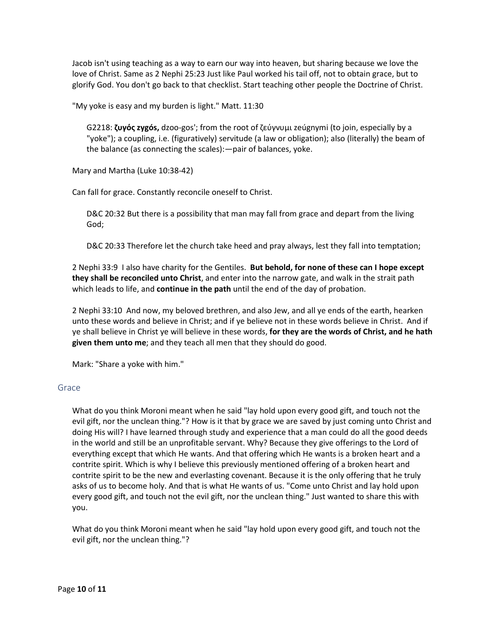Jacob isn't using teaching as a way to earn our way into heaven, but sharing because we love the love of Christ. Same as 2 Nephi 25:23 Just like Paul worked his tail off, not to obtain grace, but to glorify God. You don't go back to that checklist. Start teaching other people the Doctrine of Christ.

"My yoke is easy and my burden is light." Matt. 11:30

G2218: **ζυγός zygós,** dzoo-gos'; from the root of ζεύγνυμι zeúgnymi (to join, especially by a "yoke"); a coupling, i.e. (figuratively) servitude (a law or obligation); also (literally) the beam of the balance (as connecting the scales):—pair of balances, yoke.

Mary and Martha (Luke 10:38-42)

Can fall for grace. Constantly reconcile oneself to Christ.

D&C 20:32 But there is a possibility that man may fall from grace and depart from the living God;

D&C 20:33 Therefore let the church take heed and pray always, lest they fall into temptation;

2 Nephi 33:9 I also have charity for the Gentiles. **But behold, for none of these can I hope except they shall be reconciled unto Christ**, and enter into the narrow gate, and walk in the strait path which leads to life, and **continue in the path** until the end of the day of probation.

2 Nephi 33:10 And now, my beloved brethren, and also Jew, and all ye ends of the earth, hearken unto these words and believe in Christ; and if ye believe not in these words believe in Christ. And if ye shall believe in Christ ye will believe in these words, **for they are the words of Christ, and he hath given them unto me**; and they teach all men that they should do good.

Mark: "Share a yoke with him."

## Grace

What do you think Moroni meant when he said "lay hold upon every good gift, and touch not the evil gift, nor the unclean thing."? How is it that by grace we are saved by just coming unto Christ and doing His will? I have learned through study and experience that a man could do all the good deeds in the world and still be an unprofitable servant. Why? Because they give offerings to the Lord of everything except that which He wants. And that offering which He wants is a broken heart and a contrite spirit. Which is why I believe this previously mentioned offering of a broken heart and contrite spirit to be the new and everlasting covenant. Because it is the only offering that he truly asks of us to become holy. And that is what He wants of us. "Come unto Christ and lay hold upon every good gift, and touch not the evil gift, nor the unclean thing." Just wanted to share this with you.

What do you think Moroni meant when he said "lay hold upon every good gift, and touch not the evil gift, nor the unclean thing."?